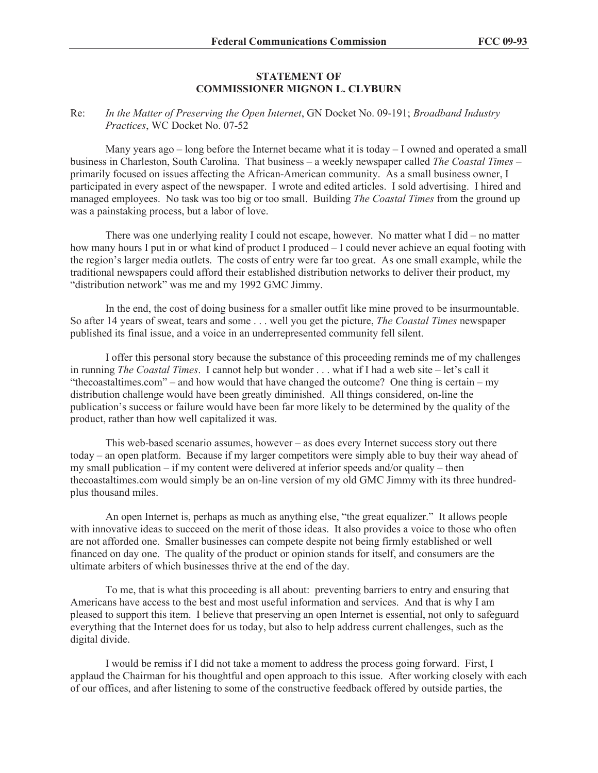## **STATEMENT OF COMMISSIONER MIGNON L. CLYBURN**

## Re: *In the Matter of Preserving the Open Internet*, GN Docket No. 09-191; *Broadband Industry Practices*, WC Docket No. 07-52

Many years ago  $-$  long before the Internet became what it is today  $-$  I owned and operated a small business in Charleston, South Carolina. That business – a weekly newspaper called *The Coastal Times* – primarily focused on issues affecting the African-American community. As a small business owner, I participated in every aspect of the newspaper. I wrote and edited articles. I sold advertising. I hired and managed employees. No task was too big or too small. Building *The Coastal Times* from the ground up was a painstaking process, but a labor of love.

There was one underlying reality I could not escape, however. No matter what I did – no matter how many hours I put in or what kind of product I produced – I could never achieve an equal footing with the region's larger media outlets. The costs of entry were far too great. As one small example, while the traditional newspapers could afford their established distribution networks to deliver their product, my "distribution network" was me and my 1992 GMC Jimmy.

In the end, the cost of doing business for a smaller outfit like mine proved to be insurmountable. So after 14 years of sweat, tears and some . . . well you get the picture, *The Coastal Times* newspaper published its final issue, and a voice in an underrepresented community fell silent.

I offer this personal story because the substance of this proceeding reminds me of my challenges in running *The Coastal Times*. I cannot help but wonder . . . what if I had a web site – let's call it "thecoastaltimes.com" – and how would that have changed the outcome? One thing is certain – my distribution challenge would have been greatly diminished. All things considered, on-line the publication's success or failure would have been far more likely to be determined by the quality of the product, rather than how well capitalized it was.

This web-based scenario assumes, however – as does every Internet success story out there today – an open platform. Because if my larger competitors were simply able to buy their way ahead of my small publication – if my content were delivered at inferior speeds and/or quality – then thecoastaltimes.com would simply be an on-line version of my old GMC Jimmy with its three hundredplus thousand miles.

An open Internet is, perhaps as much as anything else, "the great equalizer." It allows people with innovative ideas to succeed on the merit of those ideas. It also provides a voice to those who often are not afforded one. Smaller businesses can compete despite not being firmly established or well financed on day one. The quality of the product or opinion stands for itself, and consumers are the ultimate arbiters of which businesses thrive at the end of the day.

To me, that is what this proceeding is all about: preventing barriers to entry and ensuring that Americans have access to the best and most useful information and services. And that is why I am pleased to support this item. I believe that preserving an open Internet is essential, not only to safeguard everything that the Internet does for us today, but also to help address current challenges, such as the digital divide.

I would be remiss if I did not take a moment to address the process going forward. First, I applaud the Chairman for his thoughtful and open approach to this issue. After working closely with each of our offices, and after listening to some of the constructive feedback offered by outside parties, the